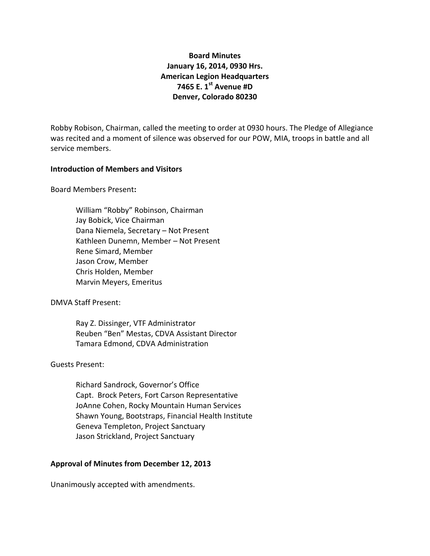# **Board Minutes January 16, 2014, 0930 Hrs. American Legion Headquarters 7465 E. 1st Avenue #D Denver, Colorado 80230**

Robby Robison, Chairman, called the meeting to order at 0930 hours. The Pledge of Allegiance was recited and a moment of silence was observed for our POW, MIA, troops in battle and all service members.

#### **Introduction of Members and Visitors**

Board Members Present**:**

William "Robby" Robinson, Chairman Jay Bobick, Vice Chairman Dana Niemela, Secretary – Not Present Kathleen Dunemn, Member – Not Present Rene Simard, Member Jason Crow, Member Chris Holden, Member Marvin Meyers, Emeritus

DMVA Staff Present:

Ray Z. Dissinger, VTF Administrator Reuben "Ben" Mestas, CDVA Assistant Director Tamara Edmond, CDVA Administration

### Guests Present:

Richard Sandrock, Governor's Office Capt. Brock Peters, Fort Carson Representative JoAnne Cohen, Rocky Mountain Human Services Shawn Young, Bootstraps, Financial Health Institute Geneva Templeton, Project Sanctuary Jason Strickland, Project Sanctuary

### **Approval of Minutes from December 12, 2013**

Unanimously accepted with amendments.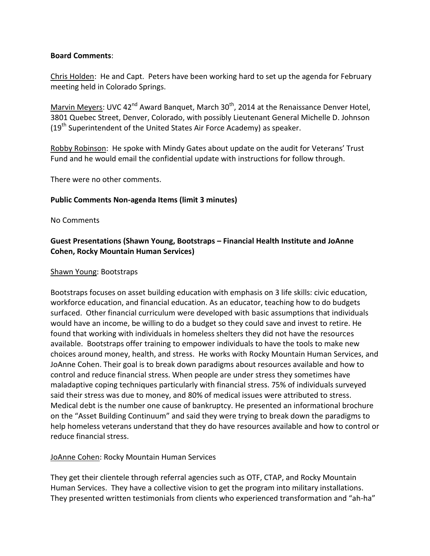#### **Board Comments**:

Chris Holden: He and Capt. Peters have been working hard to set up the agenda for February meeting held in Colorado Springs.

Marvin Meyers: UVC 42<sup>nd</sup> Award Banquet, March 30<sup>th</sup>, 2014 at the Renaissance Denver Hotel, 3801 Quebec Street, Denver, Colorado, with possibly Lieutenant General Michelle D. Johnson  $(19<sup>th</sup>$  Superintendent of the United States Air Force Academy) as speaker.

Robby Robinson: He spoke with Mindy Gates about update on the audit for Veterans' Trust Fund and he would email the confidential update with instructions for follow through.

There were no other comments.

### **Public Comments Non-agenda Items (limit 3 minutes)**

No Comments

## **Guest Presentations (Shawn Young, Bootstraps – Financial Health Institute and JoAnne Cohen, Rocky Mountain Human Services)**

#### Shawn Young: Bootstraps

Bootstraps focuses on asset building education with emphasis on 3 life skills: civic education, workforce education, and financial education. As an educator, teaching how to do budgets surfaced. Other financial curriculum were developed with basic assumptions that individuals would have an income, be willing to do a budget so they could save and invest to retire. He found that working with individuals in homeless shelters they did not have the resources available. Bootstraps offer training to empower individuals to have the tools to make new choices around money, health, and stress. He works with Rocky Mountain Human Services, and JoAnne Cohen. Their goal is to break down paradigms about resources available and how to control and reduce financial stress. When people are under stress they sometimes have maladaptive coping techniques particularly with financial stress. 75% of individuals surveyed said their stress was due to money, and 80% of medical issues were attributed to stress. Medical debt is the number one cause of bankruptcy. He presented an informational brochure on the "Asset Building Continuum" and said they were trying to break down the paradigms to help homeless veterans understand that they do have resources available and how to control or reduce financial stress.

### JoAnne Cohen: Rocky Mountain Human Services

They get their clientele through referral agencies such as OTF, CTAP, and Rocky Mountain Human Services. They have a collective vision to get the program into military installations. They presented written testimonials from clients who experienced transformation and "ah-ha"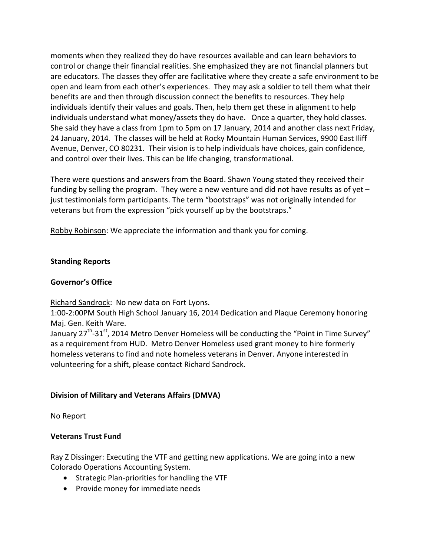moments when they realized they do have resources available and can learn behaviors to control or change their financial realities. She emphasized they are not financial planners but are educators. The classes they offer are facilitative where they create a safe environment to be open and learn from each other's experiences. They may ask a soldier to tell them what their benefits are and then through discussion connect the benefits to resources. They help individuals identify their values and goals. Then, help them get these in alignment to help individuals understand what money/assets they do have. Once a quarter, they hold classes. She said they have a class from 1pm to 5pm on 17 January, 2014 and another class next Friday, 24 January, 2014. The classes will be held at Rocky Mountain Human Services, 9900 East Iliff Avenue, Denver, CO 80231. Their vision is to help individuals have choices, gain confidence, and control over their lives. This can be life changing, transformational.

There were questions and answers from the Board. Shawn Young stated they received their funding by selling the program. They were a new venture and did not have results as of yet  $$ just testimonials form participants. The term "bootstraps" was not originally intended for veterans but from the expression "pick yourself up by the bootstraps."

Robby Robinson: We appreciate the information and thank you for coming.

# **Standing Reports**

## **Governor's Office**

Richard Sandrock: No new data on Fort Lyons.

1:00-2:00PM South High School January 16, 2014 Dedication and Plaque Ceremony honoring Maj. Gen. Keith Ware.

January 27<sup>th</sup>-31<sup>st</sup>, 2014 Metro Denver Homeless will be conducting the "Point in Time Survey" as a requirement from HUD. Metro Denver Homeless used grant money to hire formerly homeless veterans to find and note homeless veterans in Denver. Anyone interested in volunteering for a shift, please contact Richard Sandrock.

## **Division of Military and Veterans Affairs (DMVA)**

No Report

# **Veterans Trust Fund**

Ray Z Dissinger: Executing the VTF and getting new applications. We are going into a new Colorado Operations Accounting System.

- Strategic Plan-priorities for handling the VTF
- Provide money for immediate needs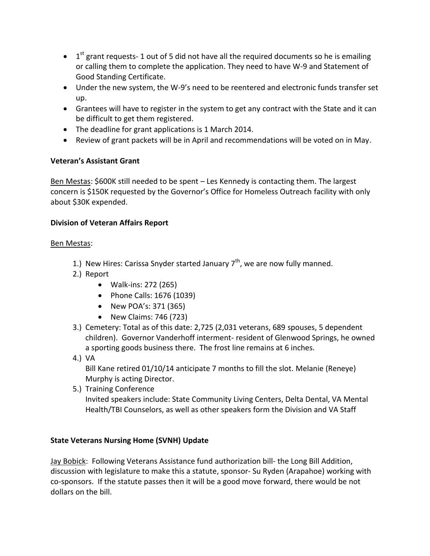- $\bullet$  1<sup>st</sup> grant requests-1 out of 5 did not have all the required documents so he is emailing or calling them to complete the application. They need to have W-9 and Statement of Good Standing Certificate.
- Under the new system, the W-9's need to be reentered and electronic funds transfer set up.
- Grantees will have to register in the system to get any contract with the State and it can be difficult to get them registered.
- The deadline for grant applications is 1 March 2014.
- Review of grant packets will be in April and recommendations will be voted on in May.

# **Veteran's Assistant Grant**

Ben Mestas: \$600K still needed to be spent - Les Kennedy is contacting them. The largest concern is \$150K requested by the Governor's Office for Homeless Outreach facility with only about \$30K expended.

# **Division of Veteran Affairs Report**

## Ben Mestas:

- 1.) New Hires: Carissa Snyder started January  $7<sup>th</sup>$ , we are now fully manned.
- 2.) Report
	- Walk-ins: 272 (265)
	- Phone Calls: 1676 (1039)
	- New POA's: 371 (365)
	- New Claims: 746 (723)
- 3.) Cemetery: Total as of this date: 2,725 (2,031 veterans, 689 spouses, 5 dependent children). Governor Vanderhoff interment- resident of Glenwood Springs, he owned a sporting goods business there. The frost line remains at 6 inches.
- 4.) VA Bill Kane retired 01/10/14 anticipate 7 months to fill the slot. Melanie (Reneye) Murphy is acting Director.
- 5.) Training Conference Invited speakers include: State Community Living Centers, Delta Dental, VA Mental Health/TBI Counselors, as well as other speakers form the Division and VA Staff

## **State Veterans Nursing Home (SVNH) Update**

Jay Bobick: Following Veterans Assistance fund authorization bill- the Long Bill Addition, discussion with legislature to make this a statute, sponsor- Su Ryden (Arapahoe) working with co-sponsors. If the statute passes then it will be a good move forward, there would be not dollars on the bill.